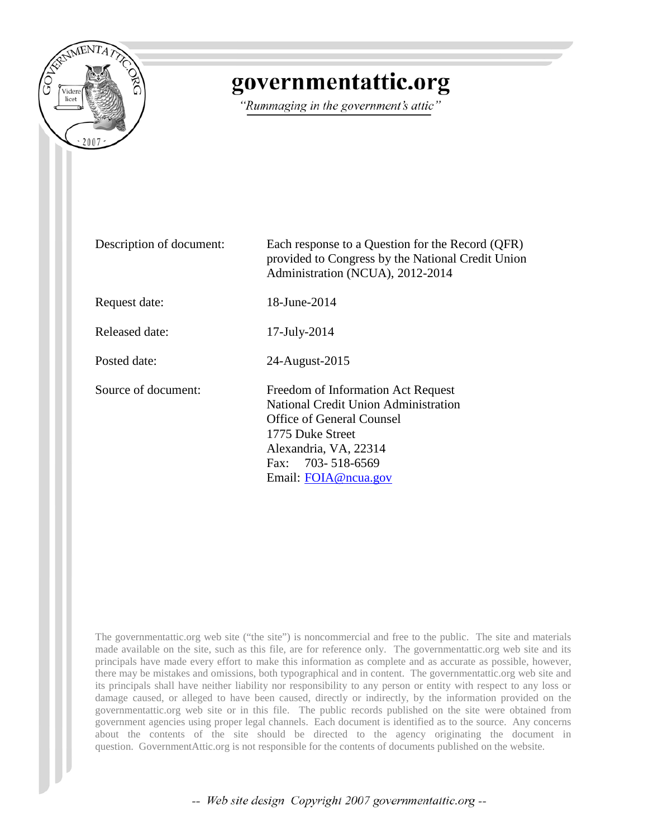

# governmentattic.org

"Rummaging in the government's attic"

| Description of document: | Each response to a Question for the Record (QFR)<br>provided to Congress by the National Credit Union<br>Administration (NCUA), 2012-2014                                                                       |
|--------------------------|-----------------------------------------------------------------------------------------------------------------------------------------------------------------------------------------------------------------|
| Request date:            | 18-June-2014                                                                                                                                                                                                    |
| Released date:           | $17$ -July- $2014$                                                                                                                                                                                              |
| Posted date:             | 24-August-2015                                                                                                                                                                                                  |
| Source of document:      | Freedom of Information Act Request<br><b>National Credit Union Administration</b><br><b>Office of General Counsel</b><br>1775 Duke Street<br>Alexandria, VA, 22314<br>Fax: 703-518-6569<br>Email: FOIA@ncua.gov |

The governmentattic.org web site ("the site") is noncommercial and free to the public. The site and materials made available on the site, such as this file, are for reference only. The governmentattic.org web site and its principals have made every effort to make this information as complete and as accurate as possible, however, there may be mistakes and omissions, both typographical and in content. The governmentattic.org web site and its principals shall have neither liability nor responsibility to any person or entity with respect to any loss or damage caused, or alleged to have been caused, directly or indirectly, by the information provided on the governmentattic.org web site or in this file. The public records published on the site were obtained from government agencies using proper legal channels. Each document is identified as to the source. Any concerns about the contents of the site should be directed to the agency originating the document in question. GovernmentAttic.org is not responsible for the contents of documents published on the website.

-- Web site design Copyright 2007 governmentattic.org --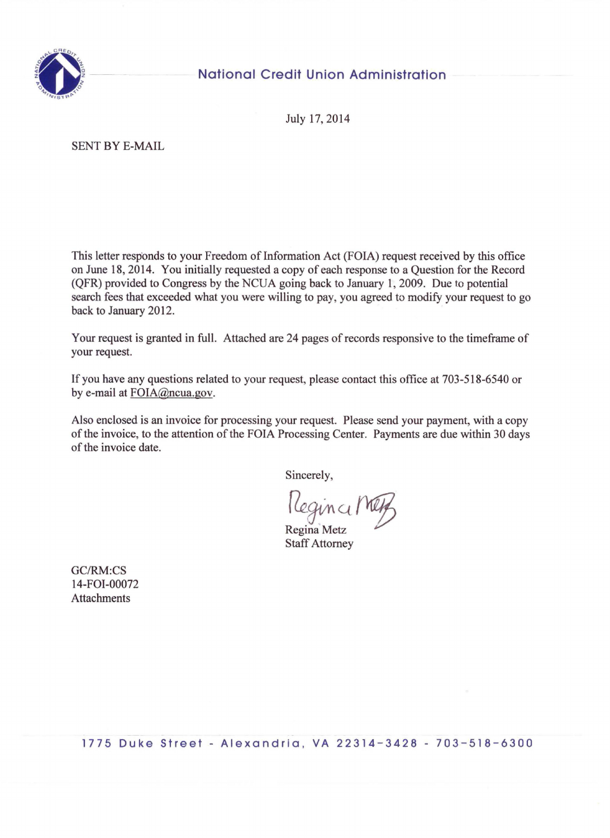

## **National Credit Union Administration**

July 17, 2014

SENT BY E-MAIL

This letter responds to your Freedom of Information Act (FOIA) request received by this office on June 18, 2014. You initially requested a copy of each response to a Question for the Record (QFR) provided to Congress by the NCUA going back to January 1, 2009. Due to potential search fees that exceeded what you were willing to pay, you agreed to modify your request to go back to January 2012.

Your request is granted in full. Attached are 24 pages of records responsive to the timeframe of your request.

If you have any questions related to your request, please contact this office at 703-518-6540 or by e-mail at FOIA@ncua.gov.

Also enclosed is an invoice for processing your request. Please send your payment, with a copy of the invoice, to the attention of the FOIA Processing Center. Payments are due within 30 days of the invoice date.

Sincerely,

 $'$ lleginci/n

Regina Metz Staff Attorney

GC/RM:CS l 4-FOI-00072 **Attachments** 

1775 Duke Street - Alexandria, VA 22314-3428 - 703-518-6300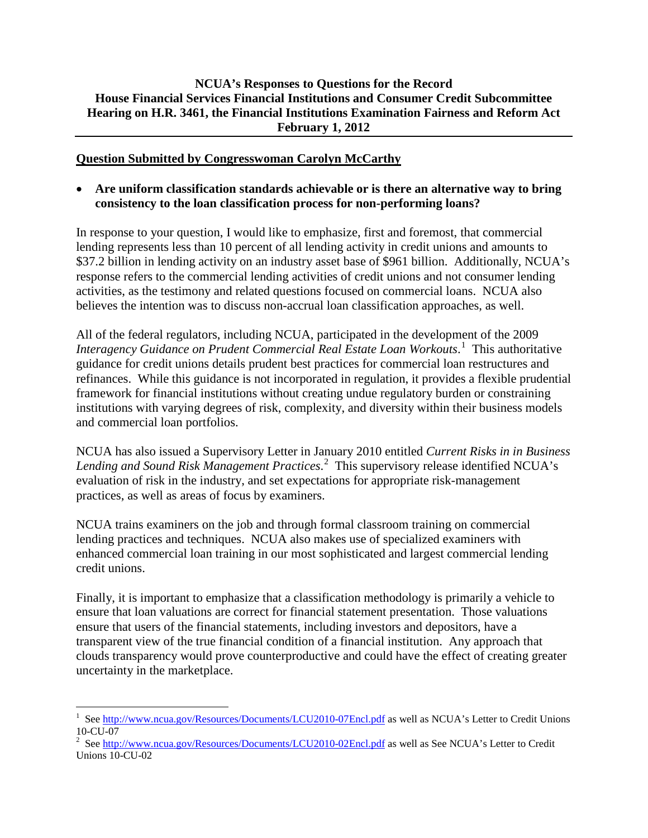#### **NCUA's Responses to Questions for the Record House Financial Services Financial Institutions and Consumer Credit Subcommittee Hearing on H.R. 3461, the Financial Institutions Examination Fairness and Reform Act February 1, 2012**

#### **Question Submitted by Congresswoman Carolyn McCarthy**

• **Are uniform classification standards achievable or is there an alternative way to bring consistency to the loan classification process for non-performing loans?**

In response to your question, I would like to emphasize, first and foremost, that commercial lending represents less than 10 percent of all lending activity in credit unions and amounts to \$37.2 billion in lending activity on an industry asset base of \$961 billion. Additionally, NCUA's response refers to the commercial lending activities of credit unions and not consumer lending activities, as the testimony and related questions focused on commercial loans. NCUA also believes the intention was to discuss non-accrual loan classification approaches, as well.

All of the federal regulators, including NCUA, participated in the development of the 2009 *Interagency Guidance on Prudent Commercial Real Estate Loan Workouts*. [1](#page-2-0) This authoritative guidance for credit unions details prudent best practices for commercial loan restructures and refinances. While this guidance is not incorporated in regulation, it provides a flexible prudential framework for financial institutions without creating undue regulatory burden or constraining institutions with varying degrees of risk, complexity, and diversity within their business models and commercial loan portfolios.

NCUA has also issued a Supervisory Letter in January 2010 entitled *Current Risks in in Business Lending and Sound Risk Management Practices*. [2](#page-2-1) This supervisory release identified NCUA's evaluation of risk in the industry, and set expectations for appropriate risk-management practices, as well as areas of focus by examiners.

NCUA trains examiners on the job and through formal classroom training on commercial lending practices and techniques. NCUA also makes use of specialized examiners with enhanced commercial loan training in our most sophisticated and largest commercial lending credit unions.

<span id="page-2-2"></span>Finally, it is important to emphasize that a classification methodology is primarily a vehicle to ensure that loan valuations are correct for financial statement presentation. Those valuations ensure that users of the financial statements, including investors and depositors, have a transparent view of the true financial condition of a financial institution. Any approach that clouds transparency would prove counterproductive and could have the effect of creating greater uncertainty in the marketplace.

<span id="page-2-0"></span> $\frac{1}{1}$ <sup>1</sup> See  $\frac{http://www.ncua.gov/Resource/Documents/LCU2010-07Encl.pdf}{$  as well as NCUA's Letter to Credit Unions 10-CU-07

<span id="page-2-1"></span><sup>10-</sup>CU-07<br><sup>2</sup> See <u>http://www.ncua.gov/Resources/Documents/LCU2010-02Encl.pdf</u> as well as See NCUA's Letter to Credit Unions 10-CU-02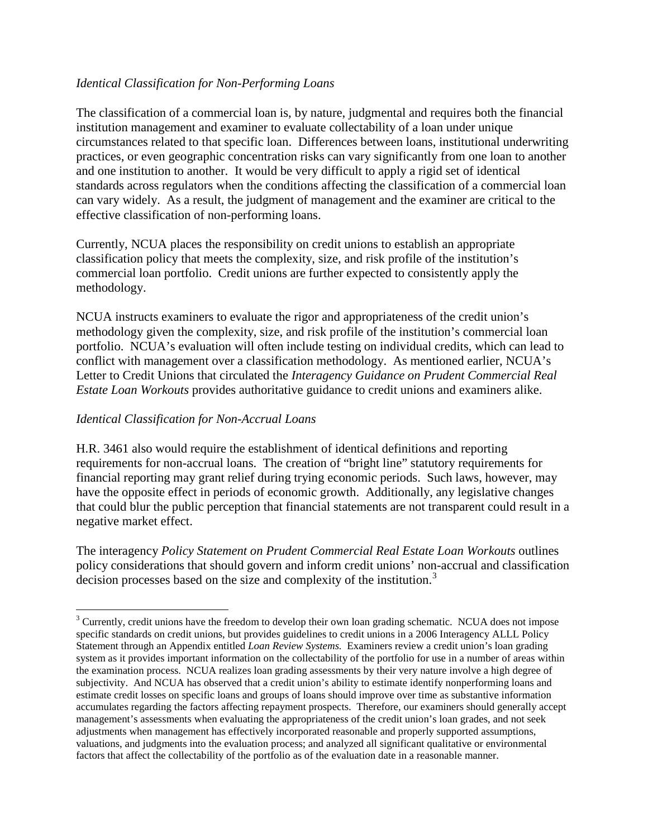#### *Identical Classification for Non-Performing Loans*

The classification of a commercial loan is, by nature, judgmental and requires both the financial institution management and examiner to evaluate collectability of a loan under unique circumstances related to that specific loan. Differences between loans, institutional underwriting practices, or even geographic concentration risks can vary significantly from one loan to another and one institution to another. It would be very difficult to apply a rigid set of identical standards across regulators when the conditions affecting the classification of a commercial loan can vary widely. As a result, the judgment of management and the examiner are critical to the effective classification of non-performing loans.

Currently, NCUA places the responsibility on credit unions to establish an appropriate classification policy that meets the complexity, size, and risk profile of the institution's commercial loan portfolio. Credit unions are further expected to consistently apply the methodology.

NCUA instructs examiners to evaluate the rigor and appropriateness of the credit union's methodology given the complexity, size, and risk profile of the institution's commercial loan portfolio. NCUA's evaluation will often include testing on individual credits, which can lead to conflict with management over a classification methodology. As mentioned earlier, NCUA's Letter to Credit Unions that circulated the *Interagency Guidance on Prudent Commercial Real Estate Loan Workouts* provides authoritative guidance to credit unions and examiners alike.

#### *Identical Classification for Non-Accrual Loans*

H.R. 3461 also would require the establishment of identical definitions and reporting requirements for non-accrual loans. The creation of "bright line" statutory requirements for financial reporting may grant relief during trying economic periods. Such laws, however, may have the opposite effect in periods of economic growth. Additionally, any legislative changes that could blur the public perception that financial statements are not transparent could result in a negative market effect.

The interagency *Policy Statement on Prudent Commercial Real Estate Loan Workouts* outlines policy considerations that should govern and inform credit unions' non-accrual and classification decision processes based on the size and complexity of the institution.<sup>[3](#page-2-2)</sup>

<sup>&</sup>lt;sup>3</sup> Currently, credit unions have the freedom to develop their own loan grading schematic. NCUA does not impose specific standards on credit unions, but provides guidelines to credit unions in a 2006 Interagency ALLL Policy Statement through an Appendix entitled *Loan Review Systems.* Examiners review a credit union's loan grading system as it provides important information on the collectability of the portfolio for use in a number of areas within the examination process. NCUA realizes loan grading assessments by their very nature involve a high degree of subjectivity. And NCUA has observed that a credit union's ability to estimate identify nonperforming loans and estimate credit losses on specific loans and groups of loans should improve over time as substantive information accumulates regarding the factors affecting repayment prospects. Therefore, our examiners should generally accept management's assessments when evaluating the appropriateness of the credit union's loan grades, and not seek adjustments when management has effectively incorporated reasonable and properly supported assumptions, valuations, and judgments into the evaluation process; and analyzed all significant qualitative or environmental factors that affect the collectability of the portfolio as of the evaluation date in a reasonable manner.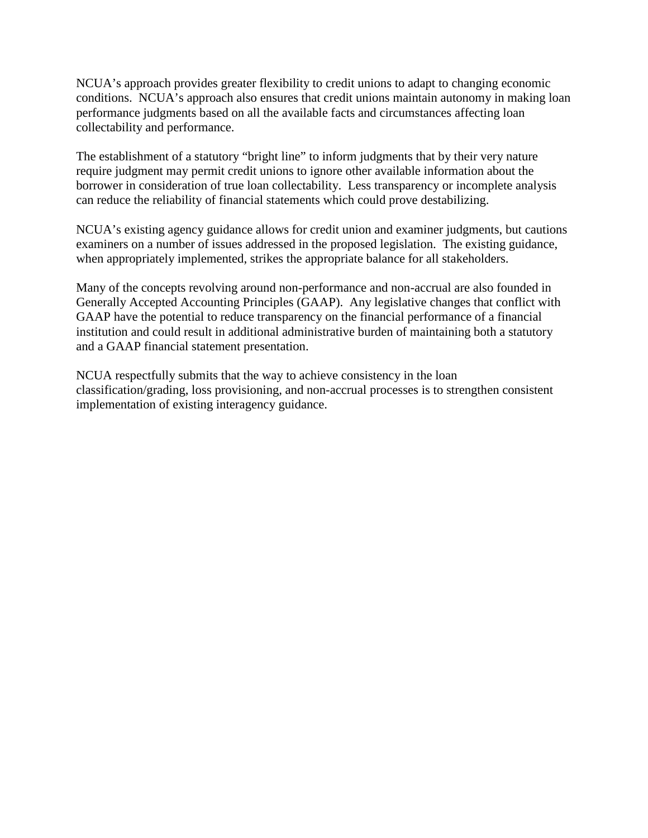NCUA's approach provides greater flexibility to credit unions to adapt to changing economic conditions. NCUA's approach also ensures that credit unions maintain autonomy in making loan performance judgments based on all the available facts and circumstances affecting loan collectability and performance.

The establishment of a statutory "bright line" to inform judgments that by their very nature require judgment may permit credit unions to ignore other available information about the borrower in consideration of true loan collectability. Less transparency or incomplete analysis can reduce the reliability of financial statements which could prove destabilizing.

NCUA's existing agency guidance allows for credit union and examiner judgments, but cautions examiners on a number of issues addressed in the proposed legislation. The existing guidance, when appropriately implemented, strikes the appropriate balance for all stakeholders.

Many of the concepts revolving around non-performance and non-accrual are also founded in Generally Accepted Accounting Principles (GAAP). Any legislative changes that conflict with GAAP have the potential to reduce transparency on the financial performance of a financial institution and could result in additional administrative burden of maintaining both a statutory and a GAAP financial statement presentation.

NCUA respectfully submits that the way to achieve consistency in the loan classification/grading, loss provisioning, and non-accrual processes is to strengthen consistent implementation of existing interagency guidance.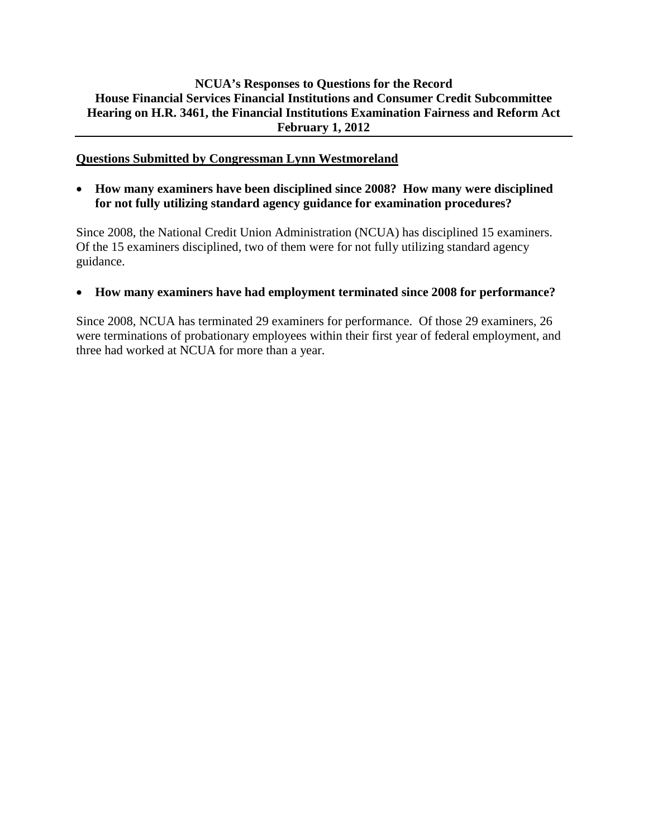#### **NCUA's Responses to Questions for the Record House Financial Services Financial Institutions and Consumer Credit Subcommittee Hearing on H.R. 3461, the Financial Institutions Examination Fairness and Reform Act February 1, 2012**

#### **Questions Submitted by Congressman Lynn Westmoreland**

• **How many examiners have been disciplined since 2008? How many were disciplined for not fully utilizing standard agency guidance for examination procedures?**

Since 2008, the National Credit Union Administration (NCUA) has disciplined 15 examiners. Of the 15 examiners disciplined, two of them were for not fully utilizing standard agency guidance.

#### • **How many examiners have had employment terminated since 2008 for performance?**

Since 2008, NCUA has terminated 29 examiners for performance. Of those 29 examiners, 26 were terminations of probationary employees within their first year of federal employment, and three had worked at NCUA for more than a year.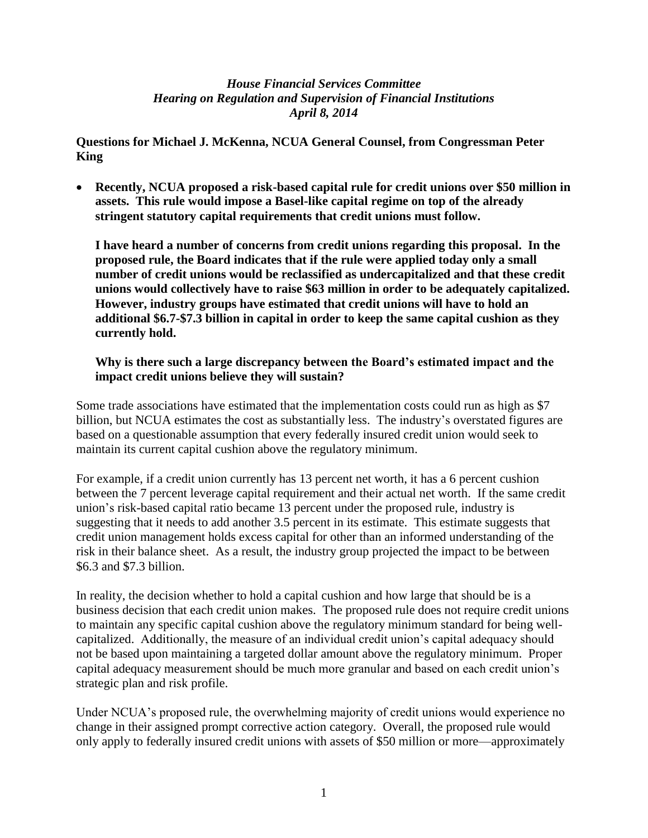**Questions for Michael J. McKenna, NCUA General Counsel, from Congressman Peter King**

 **Recently, NCUA proposed a risk-based capital rule for credit unions over \$50 million in assets. This rule would impose a Basel-like capital regime on top of the already stringent statutory capital requirements that credit unions must follow.**

**I have heard a number of concerns from credit unions regarding this proposal. In the proposed rule, the Board indicates that if the rule were applied today only a small number of credit unions would be reclassified as undercapitalized and that these credit unions would collectively have to raise \$63 million in order to be adequately capitalized. However, industry groups have estimated that credit unions will have to hold an additional \$6.7-\$7.3 billion in capital in order to keep the same capital cushion as they currently hold.**

#### **Why is there such a large discrepancy between the Board's estimated impact and the impact credit unions believe they will sustain?**

Some trade associations have estimated that the implementation costs could run as high as \$7 billion, but NCUA estimates the cost as substantially less. The industry's overstated figures are based on a questionable assumption that every federally insured credit union would seek to maintain its current capital cushion above the regulatory minimum.

For example, if a credit union currently has 13 percent net worth, it has a 6 percent cushion between the 7 percent leverage capital requirement and their actual net worth. If the same credit union's risk-based capital ratio became 13 percent under the proposed rule, industry is suggesting that it needs to add another 3.5 percent in its estimate. This estimate suggests that credit union management holds excess capital for other than an informed understanding of the risk in their balance sheet. As a result, the industry group projected the impact to be between \$6.3 and \$7.3 billion.

In reality, the decision whether to hold a capital cushion and how large that should be is a business decision that each credit union makes. The proposed rule does not require credit unions to maintain any specific capital cushion above the regulatory minimum standard for being wellcapitalized. Additionally, the measure of an individual credit union's capital adequacy should not be based upon maintaining a targeted dollar amount above the regulatory minimum. Proper capital adequacy measurement should be much more granular and based on each credit union's strategic plan and risk profile.

Under NCUA's proposed rule, the overwhelming majority of credit unions would experience no change in their assigned prompt corrective action category. Overall, the proposed rule would only apply to federally insured credit unions with assets of \$50 million or more—approximately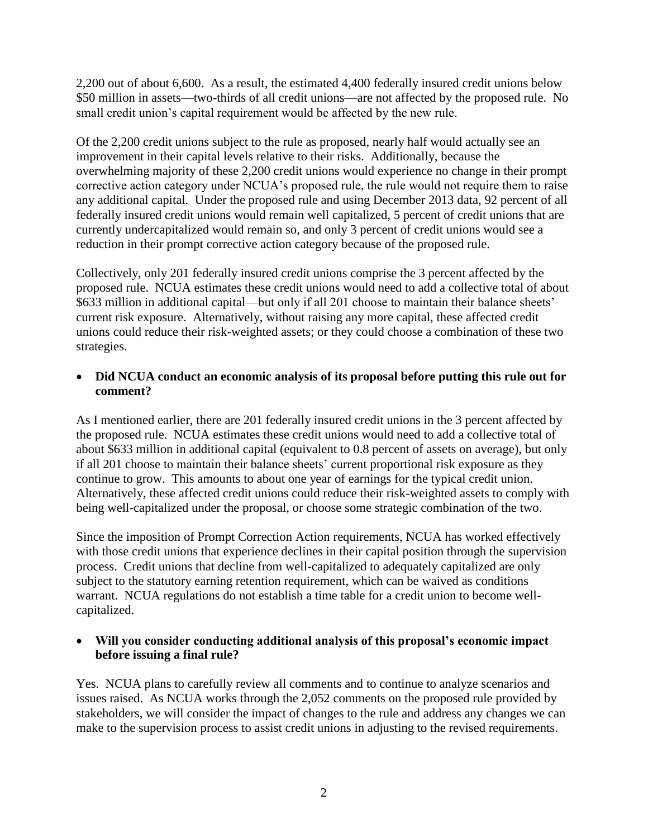2,200 out of about 6,600. As a result, the estimated 4,400 federally insured credit unions below \$50 million in assets—two-thirds of all credit unions—are not affected by the proposed rule. No small credit union's capital requirement would be affected by the new rule.

Of the 2,200 credit unions subject to the rule as proposed, nearly half would actually see an improvement in their capital levels relative to their risks. Additionally, because the overwhelming majority of these 2,200 credit unions would experience no change in their prompt corrective action category under NCUA's proposed rule, the rule would not require them to raise any additional capital. Under the proposed rule and using December 2013 data, 92 percent of all federally insured credit unions would remain well capitalized, 5 percent of credit unions that are currently undercapitalized would remain so, and only 3 percent of credit unions would see a reduction in their prompt corrective action category because of the proposed rule.

Collectively, only 201 federally insured credit unions comprise the 3 percent affected by the proposed rule. NCUA estimates these credit unions would need to add a collective total of about \$633 million in additional capital—but only if all 201 choose to maintain their balance sheets' current risk exposure. Alternatively, without raising any more capital, these affected credit unions could reduce their risk-weighted assets; or they could choose a combination of these two strategies.

#### **Did NCUA conduct an economic analysis of its proposal before putting this rule out for comment?**

As I mentioned earlier, there are 201 federally insured credit unions in the 3 percent affected by the proposed rule. NCUA estimates these credit unions would need to add a collective total of about \$633 million in additional capital (equivalent to 0.8 percent of assets on average), but only if all 201 choose to maintain their balance sheets' current proportional risk exposure as they continue to grow. This amounts to about one year of earnings for the typical credit union. Alternatively, these affected credit unions could reduce their risk-weighted assets to comply with being well-capitalized under the proposal, or choose some strategic combination of the two.

Since the imposition of Prompt Correction Action requirements, NCUA has worked effectively with those credit unions that experience declines in their capital position through the supervision process. Credit unions that decline from well-capitalized to adequately capitalized are only subject to the statutory earning retention requirement, which can be waived as conditions warrant. NCUA regulations do not establish a time table for a credit union to become wellcapitalized.

#### **Will you consider conducting additional analysis of this proposal's economic impact before issuing a final rule?**

Yes. NCUA plans to carefully review all comments and to continue to analyze scenarios and issues raised. As NCUA works through the 2,052 comments on the proposed rule provided by stakeholders, we will consider the impact of changes to the rule and address any changes we can make to the supervision process to assist credit unions in adjusting to the revised requirements.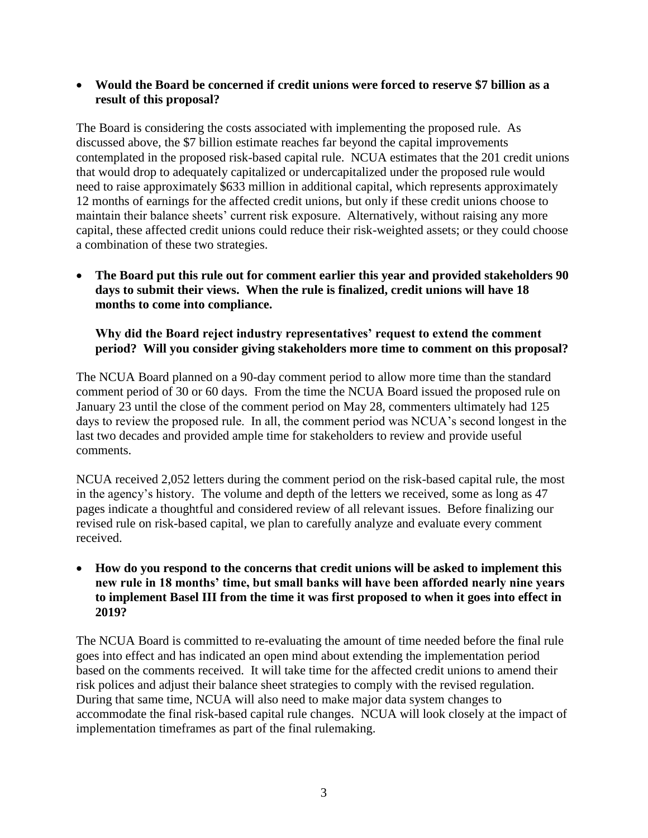**Would the Board be concerned if credit unions were forced to reserve \$7 billion as a result of this proposal?**

The Board is considering the costs associated with implementing the proposed rule. As discussed above, the \$7 billion estimate reaches far beyond the capital improvements contemplated in the proposed risk-based capital rule. NCUA estimates that the 201 credit unions that would drop to adequately capitalized or undercapitalized under the proposed rule would need to raise approximately \$633 million in additional capital, which represents approximately 12 months of earnings for the affected credit unions, but only if these credit unions choose to maintain their balance sheets' current risk exposure. Alternatively, without raising any more capital, these affected credit unions could reduce their risk-weighted assets; or they could choose a combination of these two strategies.

 **The Board put this rule out for comment earlier this year and provided stakeholders 90 days to submit their views. When the rule is finalized, credit unions will have 18 months to come into compliance.**

**Why did the Board reject industry representatives' request to extend the comment period? Will you consider giving stakeholders more time to comment on this proposal?** 

The NCUA Board planned on a 90-day comment period to allow more time than the standard comment period of 30 or 60 days. From the time the NCUA Board issued the proposed rule on January 23 until the close of the comment period on May 28, commenters ultimately had 125 days to review the proposed rule. In all, the comment period was NCUA's second longest in the last two decades and provided ample time for stakeholders to review and provide useful comments.

NCUA received 2,052 letters during the comment period on the risk-based capital rule, the most in the agency's history. The volume and depth of the letters we received, some as long as 47 pages indicate a thoughtful and considered review of all relevant issues. Before finalizing our revised rule on risk-based capital, we plan to carefully analyze and evaluate every comment received.

 **How do you respond to the concerns that credit unions will be asked to implement this new rule in 18 months' time, but small banks will have been afforded nearly nine years to implement Basel III from the time it was first proposed to when it goes into effect in 2019?**

The NCUA Board is committed to re-evaluating the amount of time needed before the final rule goes into effect and has indicated an open mind about extending the implementation period based on the comments received. It will take time for the affected credit unions to amend their risk polices and adjust their balance sheet strategies to comply with the revised regulation. During that same time, NCUA will also need to make major data system changes to accommodate the final risk-based capital rule changes. NCUA will look closely at the impact of implementation timeframes as part of the final rulemaking.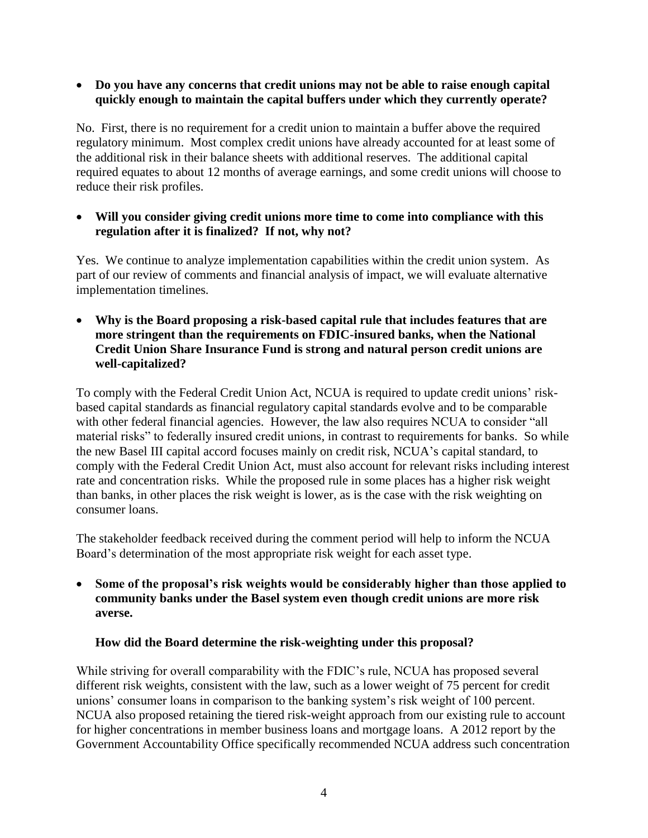#### **Do you have any concerns that credit unions may not be able to raise enough capital quickly enough to maintain the capital buffers under which they currently operate?**

No. First, there is no requirement for a credit union to maintain a buffer above the required regulatory minimum. Most complex credit unions have already accounted for at least some of the additional risk in their balance sheets with additional reserves. The additional capital required equates to about 12 months of average earnings, and some credit unions will choose to reduce their risk profiles.

#### **Will you consider giving credit unions more time to come into compliance with this regulation after it is finalized? If not, why not?**

Yes. We continue to analyze implementation capabilities within the credit union system. As part of our review of comments and financial analysis of impact, we will evaluate alternative implementation timelines.

 **Why is the Board proposing a risk-based capital rule that includes features that are more stringent than the requirements on FDIC-insured banks, when the National Credit Union Share Insurance Fund is strong and natural person credit unions are well-capitalized?**

To comply with the Federal Credit Union Act, NCUA is required to update credit unions' riskbased capital standards as financial regulatory capital standards evolve and to be comparable with other federal financial agencies. However, the law also requires NCUA to consider "all material risks" to federally insured credit unions, in contrast to requirements for banks. So while the new Basel III capital accord focuses mainly on credit risk, NCUA's capital standard, to comply with the Federal Credit Union Act, must also account for relevant risks including interest rate and concentration risks. While the proposed rule in some places has a higher risk weight than banks, in other places the risk weight is lower, as is the case with the risk weighting on consumer loans.

The stakeholder feedback received during the comment period will help to inform the NCUA Board's determination of the most appropriate risk weight for each asset type.

 **Some of the proposal's risk weights would be considerably higher than those applied to community banks under the Basel system even though credit unions are more risk averse.**

#### **How did the Board determine the risk-weighting under this proposal?**

While striving for overall comparability with the FDIC's rule, NCUA has proposed several different risk weights, consistent with the law, such as a lower weight of 75 percent for credit unions' consumer loans in comparison to the banking system's risk weight of 100 percent. NCUA also proposed retaining the tiered risk-weight approach from our existing rule to account for higher concentrations in member business loans and mortgage loans. A 2012 report by the Government Accountability Office specifically recommended NCUA address such concentration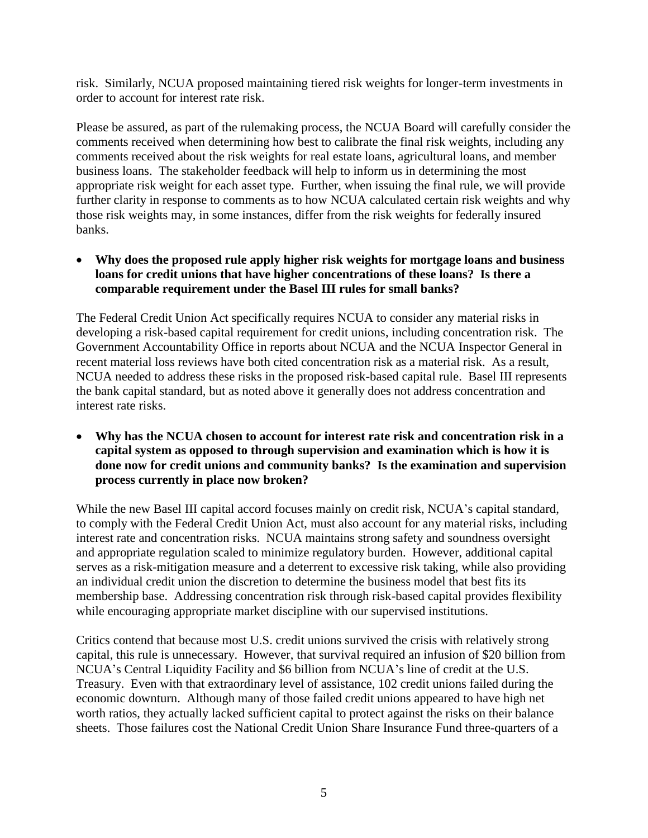risk. Similarly, NCUA proposed maintaining tiered risk weights for longer-term investments in order to account for interest rate risk.

Please be assured, as part of the rulemaking process, the NCUA Board will carefully consider the comments received when determining how best to calibrate the final risk weights, including any comments received about the risk weights for real estate loans, agricultural loans, and member business loans. The stakeholder feedback will help to inform us in determining the most appropriate risk weight for each asset type. Further, when issuing the final rule, we will provide further clarity in response to comments as to how NCUA calculated certain risk weights and why those risk weights may, in some instances, differ from the risk weights for federally insured banks.

 **Why does the proposed rule apply higher risk weights for mortgage loans and business loans for credit unions that have higher concentrations of these loans? Is there a comparable requirement under the Basel III rules for small banks?**

The Federal Credit Union Act specifically requires NCUA to consider any material risks in developing a risk-based capital requirement for credit unions, including concentration risk. The Government Accountability Office in reports about NCUA and the NCUA Inspector General in recent material loss reviews have both cited concentration risk as a material risk. As a result, NCUA needed to address these risks in the proposed risk-based capital rule. Basel III represents the bank capital standard, but as noted above it generally does not address concentration and interest rate risks.

 **Why has the NCUA chosen to account for interest rate risk and concentration risk in a capital system as opposed to through supervision and examination which is how it is done now for credit unions and community banks? Is the examination and supervision process currently in place now broken?**

While the new Basel III capital accord focuses mainly on credit risk, NCUA's capital standard, to comply with the Federal Credit Union Act, must also account for any material risks, including interest rate and concentration risks. NCUA maintains strong safety and soundness oversight and appropriate regulation scaled to minimize regulatory burden. However, additional capital serves as a risk-mitigation measure and a deterrent to excessive risk taking, while also providing an individual credit union the discretion to determine the business model that best fits its membership base. Addressing concentration risk through risk-based capital provides flexibility while encouraging appropriate market discipline with our supervised institutions.

Critics contend that because most U.S. credit unions survived the crisis with relatively strong capital, this rule is unnecessary. However, that survival required an infusion of \$20 billion from NCUA's Central Liquidity Facility and \$6 billion from NCUA's line of credit at the U.S. Treasury. Even with that extraordinary level of assistance, 102 credit unions failed during the economic downturn. Although many of those failed credit unions appeared to have high net worth ratios, they actually lacked sufficient capital to protect against the risks on their balance sheets. Those failures cost the National Credit Union Share Insurance Fund three-quarters of a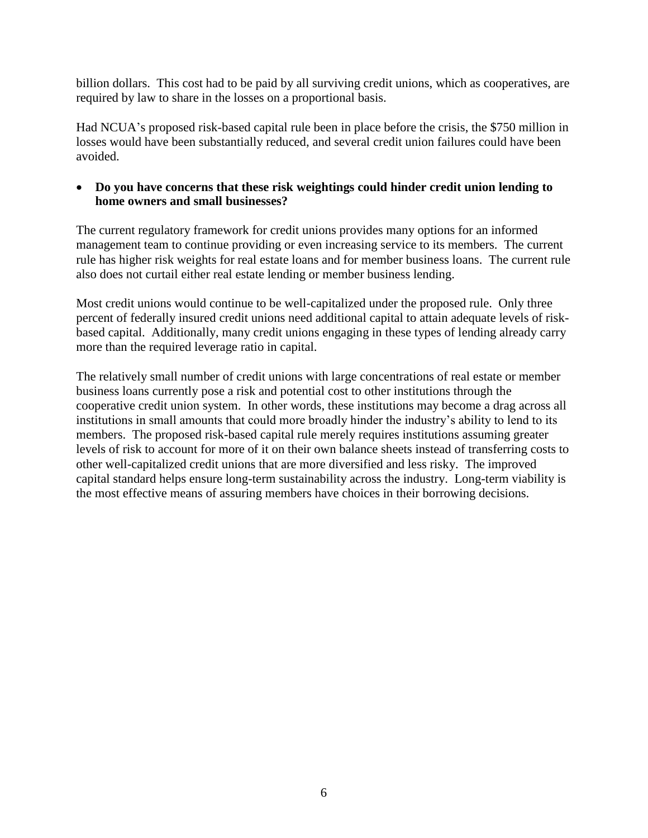billion dollars. This cost had to be paid by all surviving credit unions, which as cooperatives, are required by law to share in the losses on a proportional basis.

Had NCUA's proposed risk-based capital rule been in place before the crisis, the \$750 million in losses would have been substantially reduced, and several credit union failures could have been avoided.

#### **Do you have concerns that these risk weightings could hinder credit union lending to home owners and small businesses?**

The current regulatory framework for credit unions provides many options for an informed management team to continue providing or even increasing service to its members. The current rule has higher risk weights for real estate loans and for member business loans. The current rule also does not curtail either real estate lending or member business lending.

Most credit unions would continue to be well-capitalized under the proposed rule. Only three percent of federally insured credit unions need additional capital to attain adequate levels of riskbased capital. Additionally, many credit unions engaging in these types of lending already carry more than the required leverage ratio in capital.

The relatively small number of credit unions with large concentrations of real estate or member business loans currently pose a risk and potential cost to other institutions through the cooperative credit union system. In other words, these institutions may become a drag across all institutions in small amounts that could more broadly hinder the industry's ability to lend to its members. The proposed risk-based capital rule merely requires institutions assuming greater levels of risk to account for more of it on their own balance sheets instead of transferring costs to other well-capitalized credit unions that are more diversified and less risky. The improved capital standard helps ensure long-term sustainability across the industry. Long-term viability is the most effective means of assuring members have choices in their borrowing decisions.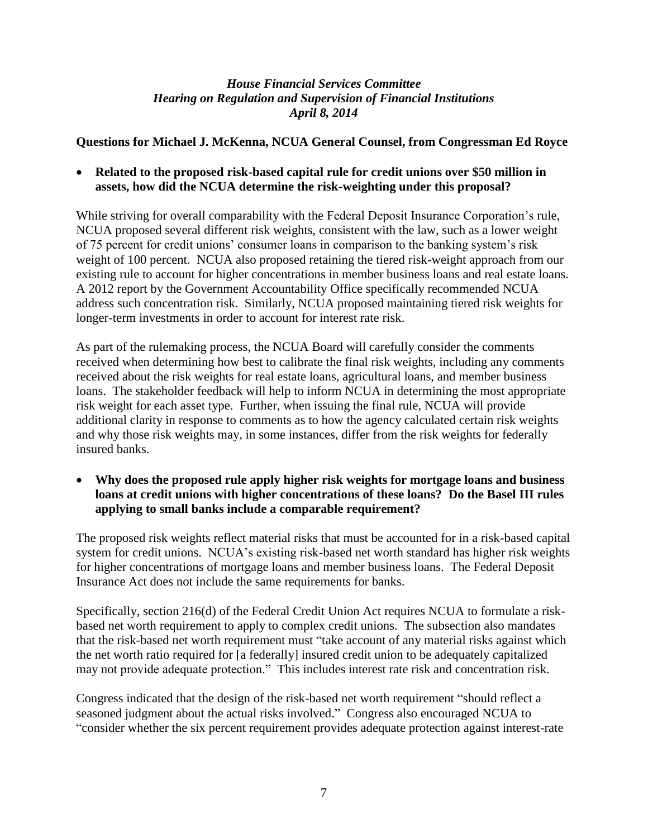#### **Questions for Michael J. McKenna, NCUA General Counsel, from Congressman Ed Royce**

 **Related to the proposed risk-based capital rule for credit unions over \$50 million in assets, how did the NCUA determine the risk-weighting under this proposal?**

While striving for overall comparability with the Federal Deposit Insurance Corporation's rule, NCUA proposed several different risk weights, consistent with the law, such as a lower weight of 75 percent for credit unions' consumer loans in comparison to the banking system's risk weight of 100 percent. NCUA also proposed retaining the tiered risk-weight approach from our existing rule to account for higher concentrations in member business loans and real estate loans. A 2012 report by the Government Accountability Office specifically recommended NCUA address such concentration risk. Similarly, NCUA proposed maintaining tiered risk weights for longer-term investments in order to account for interest rate risk.

As part of the rulemaking process, the NCUA Board will carefully consider the comments received when determining how best to calibrate the final risk weights, including any comments received about the risk weights for real estate loans, agricultural loans, and member business loans. The stakeholder feedback will help to inform NCUA in determining the most appropriate risk weight for each asset type. Further, when issuing the final rule, NCUA will provide additional clarity in response to comments as to how the agency calculated certain risk weights and why those risk weights may, in some instances, differ from the risk weights for federally insured banks.

 **Why does the proposed rule apply higher risk weights for mortgage loans and business loans at credit unions with higher concentrations of these loans? Do the Basel III rules applying to small banks include a comparable requirement?**

The proposed risk weights reflect material risks that must be accounted for in a risk-based capital system for credit unions. NCUA's existing risk-based net worth standard has higher risk weights for higher concentrations of mortgage loans and member business loans. The Federal Deposit Insurance Act does not include the same requirements for banks.

Specifically, section 216(d) of the Federal Credit Union Act requires NCUA to formulate a riskbased net worth requirement to apply to complex credit unions. The subsection also mandates that the risk-based net worth requirement must "take account of any material risks against which the net worth ratio required for [a federally] insured credit union to be adequately capitalized may not provide adequate protection." This includes interest rate risk and concentration risk.

Congress indicated that the design of the risk-based net worth requirement "should reflect a seasoned judgment about the actual risks involved." Congress also encouraged NCUA to ―consider whether the six percent requirement provides adequate protection against interest-rate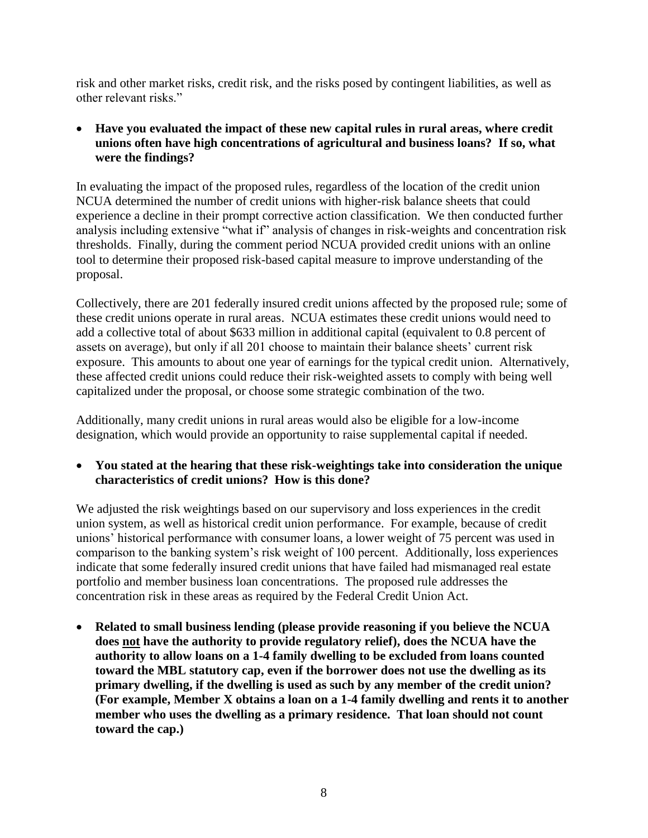risk and other market risks, credit risk, and the risks posed by contingent liabilities, as well as other relevant risks."

 **Have you evaluated the impact of these new capital rules in rural areas, where credit unions often have high concentrations of agricultural and business loans? If so, what were the findings?**

In evaluating the impact of the proposed rules, regardless of the location of the credit union NCUA determined the number of credit unions with higher-risk balance sheets that could experience a decline in their prompt corrective action classification. We then conducted further analysis including extensive "what if" analysis of changes in risk-weights and concentration risk thresholds. Finally, during the comment period NCUA provided credit unions with an online tool to determine their proposed risk-based capital measure to improve understanding of the proposal.

Collectively, there are 201 federally insured credit unions affected by the proposed rule; some of these credit unions operate in rural areas. NCUA estimates these credit unions would need to add a collective total of about \$633 million in additional capital (equivalent to 0.8 percent of assets on average), but only if all 201 choose to maintain their balance sheets' current risk exposure. This amounts to about one year of earnings for the typical credit union. Alternatively, these affected credit unions could reduce their risk-weighted assets to comply with being well capitalized under the proposal, or choose some strategic combination of the two.

Additionally, many credit unions in rural areas would also be eligible for a low-income designation, which would provide an opportunity to raise supplemental capital if needed.

 **You stated at the hearing that these risk-weightings take into consideration the unique characteristics of credit unions? How is this done?**

We adjusted the risk weightings based on our supervisory and loss experiences in the credit union system, as well as historical credit union performance. For example, because of credit unions' historical performance with consumer loans, a lower weight of 75 percent was used in comparison to the banking system's risk weight of 100 percent. Additionally, loss experiences indicate that some federally insured credit unions that have failed had mismanaged real estate portfolio and member business loan concentrations. The proposed rule addresses the concentration risk in these areas as required by the Federal Credit Union Act.

 **Related to small business lending (please provide reasoning if you believe the NCUA does not have the authority to provide regulatory relief), does the NCUA have the authority to allow loans on a 1-4 family dwelling to be excluded from loans counted toward the MBL statutory cap, even if the borrower does not use the dwelling as its primary dwelling, if the dwelling is used as such by any member of the credit union? (For example, Member X obtains a loan on a 1-4 family dwelling and rents it to another member who uses the dwelling as a primary residence. That loan should not count toward the cap.)**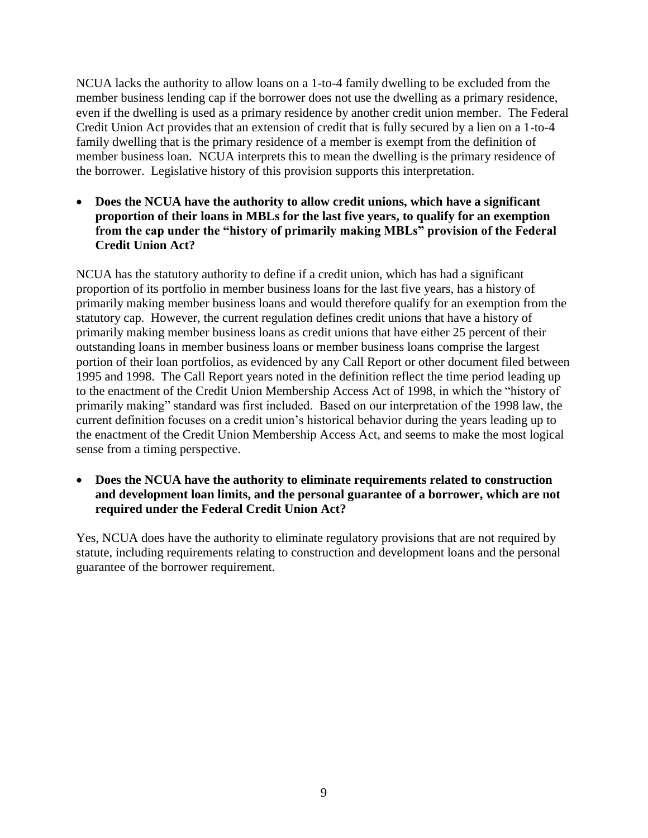NCUA lacks the authority to allow loans on a 1-to-4 family dwelling to be excluded from the member business lending cap if the borrower does not use the dwelling as a primary residence, even if the dwelling is used as a primary residence by another credit union member. The Federal Credit Union Act provides that an extension of credit that is fully secured by a lien on a 1-to-4 family dwelling that is the primary residence of a member is exempt from the definition of member business loan. NCUA interprets this to mean the dwelling is the primary residence of the borrower. Legislative history of this provision supports this interpretation.

 **Does the NCUA have the authority to allow credit unions, which have a significant proportion of their loans in MBLs for the last five years, to qualify for an exemption from the cap under the "history of primarily making MBLs" provision of the Federal Credit Union Act?**

NCUA has the statutory authority to define if a credit union, which has had a significant proportion of its portfolio in member business loans for the last five years, has a history of primarily making member business loans and would therefore qualify for an exemption from the statutory cap. However, the current regulation defines credit unions that have a history of primarily making member business loans as credit unions that have either 25 percent of their outstanding loans in member business loans or member business loans comprise the largest portion of their loan portfolios, as evidenced by any Call Report or other document filed between 1995 and 1998. The Call Report years noted in the definition reflect the time period leading up to the enactment of the Credit Union Membership Access Act of 1998, in which the "history of primarily making" standard was first included. Based on our interpretation of the 1998 law, the current definition focuses on a credit union's historical behavior during the years leading up to the enactment of the Credit Union Membership Access Act, and seems to make the most logical sense from a timing perspective.

 **Does the NCUA have the authority to eliminate requirements related to construction and development loan limits, and the personal guarantee of a borrower, which are not required under the Federal Credit Union Act?**

Yes, NCUA does have the authority to eliminate regulatory provisions that are not required by statute, including requirements relating to construction and development loans and the personal guarantee of the borrower requirement.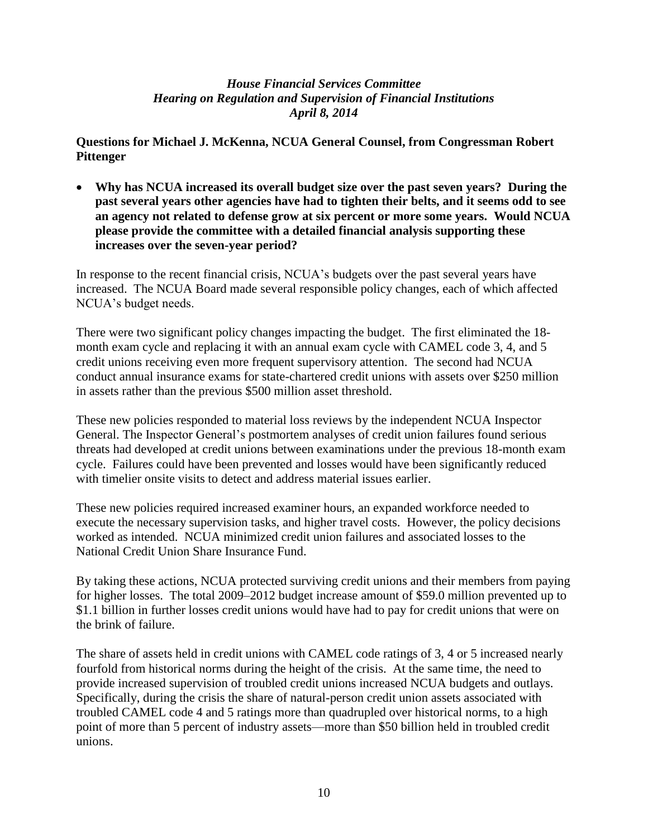#### **Questions for Michael J. McKenna, NCUA General Counsel, from Congressman Robert Pittenger**

 **Why has NCUA increased its overall budget size over the past seven years? During the past several years other agencies have had to tighten their belts, and it seems odd to see an agency not related to defense grow at six percent or more some years. Would NCUA please provide the committee with a detailed financial analysis supporting these increases over the seven-year period?**

In response to the recent financial crisis, NCUA's budgets over the past several years have increased. The NCUA Board made several responsible policy changes, each of which affected NCUA's budget needs.

There were two significant policy changes impacting the budget. The first eliminated the 18 month exam cycle and replacing it with an annual exam cycle with CAMEL code 3, 4, and 5 credit unions receiving even more frequent supervisory attention. The second had NCUA conduct annual insurance exams for state-chartered credit unions with assets over \$250 million in assets rather than the previous \$500 million asset threshold.

These new policies responded to material loss reviews by the independent NCUA Inspector General. The Inspector General's postmortem analyses of credit union failures found serious threats had developed at credit unions between examinations under the previous 18-month exam cycle. Failures could have been prevented and losses would have been significantly reduced with timelier onsite visits to detect and address material issues earlier.

These new policies required increased examiner hours, an expanded workforce needed to execute the necessary supervision tasks, and higher travel costs. However, the policy decisions worked as intended. NCUA minimized credit union failures and associated losses to the National Credit Union Share Insurance Fund.

By taking these actions, NCUA protected surviving credit unions and their members from paying for higher losses. The total 2009–2012 budget increase amount of \$59.0 million prevented up to \$1.1 billion in further losses credit unions would have had to pay for credit unions that were on the brink of failure.

The share of assets held in credit unions with CAMEL code ratings of 3, 4 or 5 increased nearly fourfold from historical norms during the height of the crisis. At the same time, the need to provide increased supervision of troubled credit unions increased NCUA budgets and outlays. Specifically, during the crisis the share of natural-person credit union assets associated with troubled CAMEL code 4 and 5 ratings more than quadrupled over historical norms, to a high point of more than 5 percent of industry assets—more than \$50 billion held in troubled credit unions.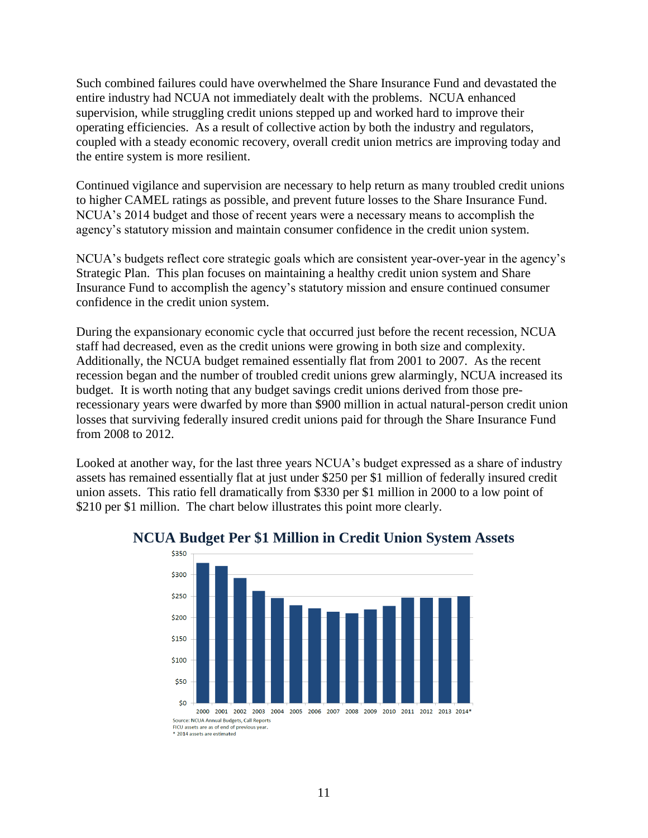Such combined failures could have overwhelmed the Share Insurance Fund and devastated the entire industry had NCUA not immediately dealt with the problems. NCUA enhanced supervision, while struggling credit unions stepped up and worked hard to improve their operating efficiencies. As a result of collective action by both the industry and regulators, coupled with a steady economic recovery, overall credit union metrics are improving today and the entire system is more resilient.

Continued vigilance and supervision are necessary to help return as many troubled credit unions to higher CAMEL ratings as possible, and prevent future losses to the Share Insurance Fund. NCUA's 2014 budget and those of recent years were a necessary means to accomplish the agency's statutory mission and maintain consumer confidence in the credit union system.

NCUA's budgets reflect core strategic goals which are consistent year-over-year in the agency's Strategic Plan. This plan focuses on maintaining a healthy credit union system and Share Insurance Fund to accomplish the agency's statutory mission and ensure continued consumer confidence in the credit union system.

During the expansionary economic cycle that occurred just before the recent recession, NCUA staff had decreased, even as the credit unions were growing in both size and complexity. Additionally, the NCUA budget remained essentially flat from 2001 to 2007. As the recent recession began and the number of troubled credit unions grew alarmingly, NCUA increased its budget. It is worth noting that any budget savings credit unions derived from those prerecessionary years were dwarfed by more than \$900 million in actual natural-person credit union losses that surviving federally insured credit unions paid for through the Share Insurance Fund from 2008 to 2012.

Looked at another way, for the last three years NCUA's budget expressed as a share of industry assets has remained essentially flat at just under \$250 per \$1 million of federally insured credit union assets. This ratio fell dramatically from \$330 per \$1 million in 2000 to a low point of \$210 per \$1 million. The chart below illustrates this point more clearly.



### **NCUA Budget Per \$1 Million in Credit Union System Assets**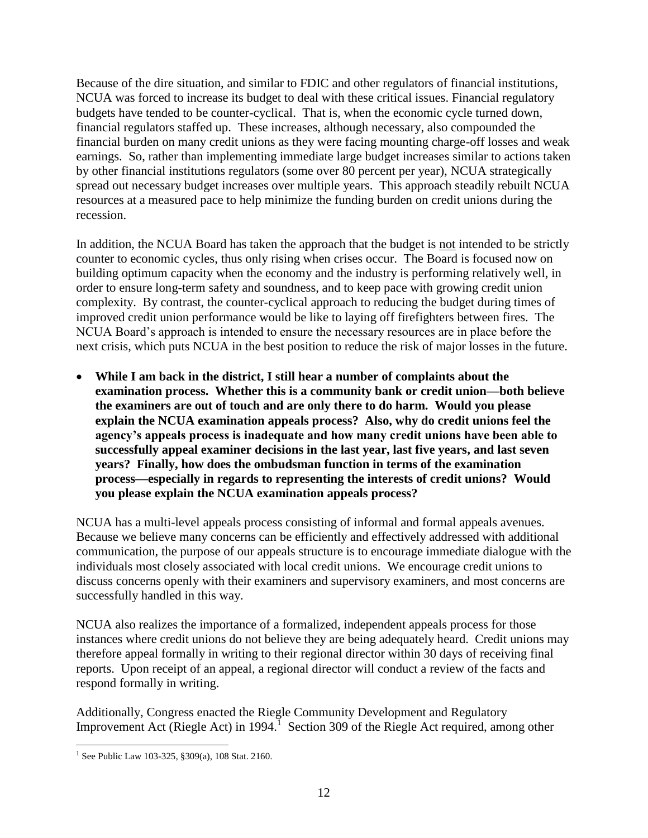Because of the dire situation, and similar to FDIC and other regulators of financial institutions, NCUA was forced to increase its budget to deal with these critical issues. Financial regulatory budgets have tended to be counter-cyclical. That is, when the economic cycle turned down, financial regulators staffed up. These increases, although necessary, also compounded the financial burden on many credit unions as they were facing mounting charge-off losses and weak earnings. So, rather than implementing immediate large budget increases similar to actions taken by other financial institutions regulators (some over 80 percent per year), NCUA strategically spread out necessary budget increases over multiple years. This approach steadily rebuilt NCUA resources at a measured pace to help minimize the funding burden on credit unions during the recession.

In addition, the NCUA Board has taken the approach that the budget is not intended to be strictly counter to economic cycles, thus only rising when crises occur. The Board is focused now on building optimum capacity when the economy and the industry is performing relatively well, in order to ensure long-term safety and soundness, and to keep pace with growing credit union complexity. By contrast, the counter-cyclical approach to reducing the budget during times of improved credit union performance would be like to laying off firefighters between fires. The NCUA Board's approach is intended to ensure the necessary resources are in place before the next crisis, which puts NCUA in the best position to reduce the risk of major losses in the future.

 **While I am back in the district, I still hear a number of complaints about the examination process. Whether this is a community bank or credit union—both believe the examiners are out of touch and are only there to do harm. Would you please explain the NCUA examination appeals process? Also, why do credit unions feel the agency's appeals process is inadequate and how many credit unions have been able to successfully appeal examiner decisions in the last year, last five years, and last seven years? Finally, how does the ombudsman function in terms of the examination process—especially in regards to representing the interests of credit unions? Would you please explain the NCUA examination appeals process?** 

NCUA has a multi-level appeals process consisting of informal and formal appeals avenues. Because we believe many concerns can be efficiently and effectively addressed with additional communication, the purpose of our appeals structure is to encourage immediate dialogue with the individuals most closely associated with local credit unions. We encourage credit unions to discuss concerns openly with their examiners and supervisory examiners, and most concerns are successfully handled in this way.

NCUA also realizes the importance of a formalized, independent appeals process for those instances where credit unions do not believe they are being adequately heard. Credit unions may therefore appeal formally in writing to their regional director within 30 days of receiving final reports. Upon receipt of an appeal, a regional director will conduct a review of the facts and respond formally in writing.

Additionally, Congress enacted the Riegle Community Development and Regulatory Improvement Act (Riegle Act) in 1994.<sup>1</sup> Section 309 of the Riegle Act required, among other

 $\overline{a}$ <sup>1</sup> See Public Law 103-325, §309(a), 108 Stat. 2160.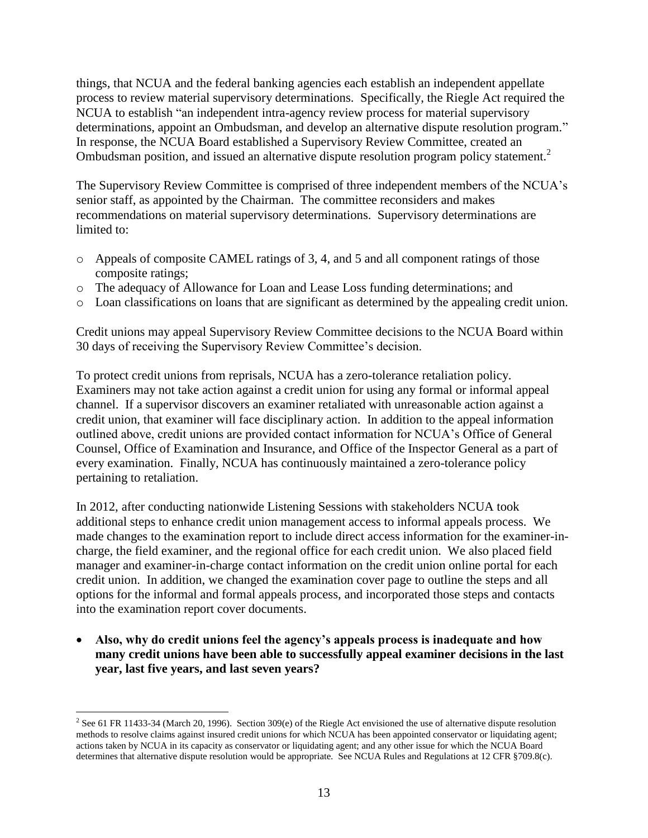things, that NCUA and the federal banking agencies each establish an independent appellate process to review material supervisory determinations. Specifically, the Riegle Act required the NCUA to establish "an independent intra-agency review process for material supervisory determinations, appoint an Ombudsman, and develop an alternative dispute resolution program." In response, the NCUA Board established a Supervisory Review Committee, created an Ombudsman position, and issued an alternative dispute resolution program policy statement.<sup>2</sup>

The Supervisory Review Committee is comprised of three independent members of the NCUA's senior staff, as appointed by the Chairman. The committee reconsiders and makes recommendations on material supervisory determinations. Supervisory determinations are limited to:

- o Appeals of composite CAMEL ratings of 3, 4, and 5 and all component ratings of those composite ratings;
- o The adequacy of Allowance for Loan and Lease Loss funding determinations; and
- o Loan classifications on loans that are significant as determined by the appealing credit union.

Credit unions may appeal Supervisory Review Committee decisions to the NCUA Board within 30 days of receiving the Supervisory Review Committee's decision.

To protect credit unions from reprisals, NCUA has a zero-tolerance retaliation policy. Examiners may not take action against a credit union for using any formal or informal appeal channel. If a supervisor discovers an examiner retaliated with unreasonable action against a credit union, that examiner will face disciplinary action. In addition to the appeal information outlined above, credit unions are provided contact information for NCUA's Office of General Counsel, Office of Examination and Insurance, and Office of the Inspector General as a part of every examination. Finally, NCUA has continuously maintained a zero-tolerance policy pertaining to retaliation.

In 2012, after conducting nationwide Listening Sessions with stakeholders NCUA took additional steps to enhance credit union management access to informal appeals process. We made changes to the examination report to include direct access information for the examiner-incharge, the field examiner, and the regional office for each credit union. We also placed field manager and examiner-in-charge contact information on the credit union online portal for each credit union. In addition, we changed the examination cover page to outline the steps and all options for the informal and formal appeals process, and incorporated those steps and contacts into the examination report cover documents.

 **Also, why do credit unions feel the agency's appeals process is inadequate and how many credit unions have been able to successfully appeal examiner decisions in the last year, last five years, and last seven years?**

 $\overline{a}$ 

<sup>&</sup>lt;sup>2</sup> See 61 FR 11433-34 (March 20, 1996). Section 309(e) of the Riegle Act envisioned the use of alternative dispute resolution methods to resolve claims against insured credit unions for which NCUA has been appointed conservator or liquidating agent; actions taken by NCUA in its capacity as conservator or liquidating agent; and any other issue for which the NCUA Board determines that alternative dispute resolution would be appropriate. See NCUA Rules and Regulations at 12 CFR §709.8(c).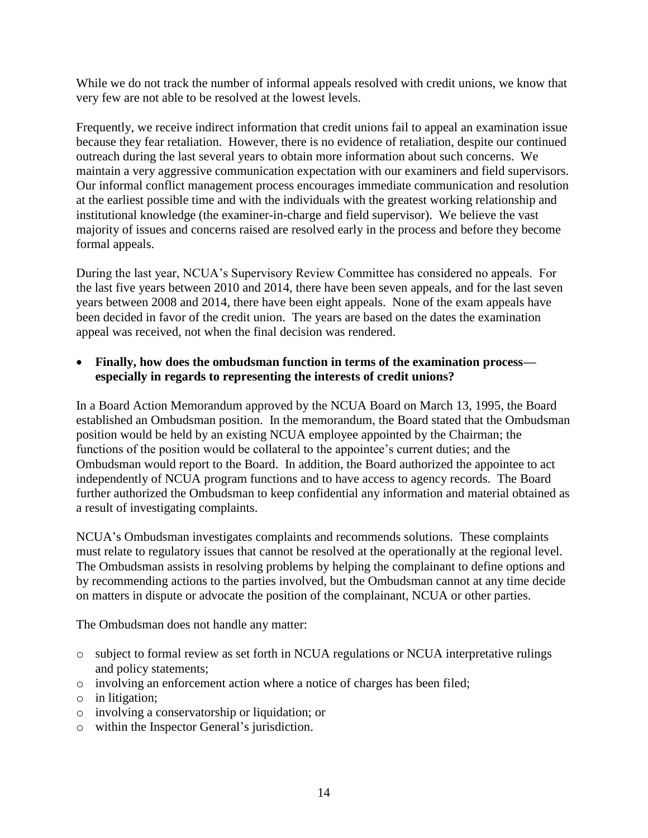While we do not track the number of informal appeals resolved with credit unions, we know that very few are not able to be resolved at the lowest levels.

Frequently, we receive indirect information that credit unions fail to appeal an examination issue because they fear retaliation. However, there is no evidence of retaliation, despite our continued outreach during the last several years to obtain more information about such concerns. We maintain a very aggressive communication expectation with our examiners and field supervisors. Our informal conflict management process encourages immediate communication and resolution at the earliest possible time and with the individuals with the greatest working relationship and institutional knowledge (the examiner-in-charge and field supervisor). We believe the vast majority of issues and concerns raised are resolved early in the process and before they become formal appeals.

During the last year, NCUA's Supervisory Review Committee has considered no appeals. For the last five years between 2010 and 2014, there have been seven appeals, and for the last seven years between 2008 and 2014, there have been eight appeals. None of the exam appeals have been decided in favor of the credit union. The years are based on the dates the examination appeal was received, not when the final decision was rendered.

#### **Finally, how does the ombudsman function in terms of the examination process especially in regards to representing the interests of credit unions?**

In a Board Action Memorandum approved by the NCUA Board on March 13, 1995, the Board established an Ombudsman position. In the memorandum, the Board stated that the Ombudsman position would be held by an existing NCUA employee appointed by the Chairman; the functions of the position would be collateral to the appointee's current duties; and the Ombudsman would report to the Board. In addition, the Board authorized the appointee to act independently of NCUA program functions and to have access to agency records. The Board further authorized the Ombudsman to keep confidential any information and material obtained as a result of investigating complaints.

NCUA's Ombudsman investigates complaints and recommends solutions. These complaints must relate to regulatory issues that cannot be resolved at the operationally at the regional level. The Ombudsman assists in resolving problems by helping the complainant to define options and by recommending actions to the parties involved, but the Ombudsman cannot at any time decide on matters in dispute or advocate the position of the complainant, NCUA or other parties.

The Ombudsman does not handle any matter:

- o subject to formal review as set forth in NCUA regulations or NCUA interpretative rulings and policy statements;
- o involving an enforcement action where a notice of charges has been filed;
- o in litigation;
- o involving a conservatorship or liquidation; or
- o within the Inspector General's jurisdiction.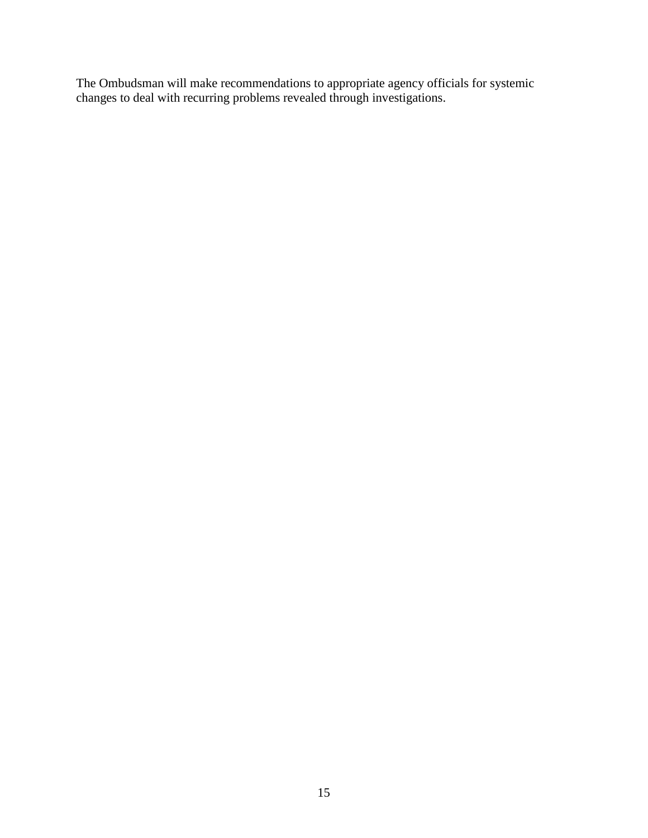The Ombudsman will make recommendations to appropriate agency officials for systemic changes to deal with recurring problems revealed through investigations.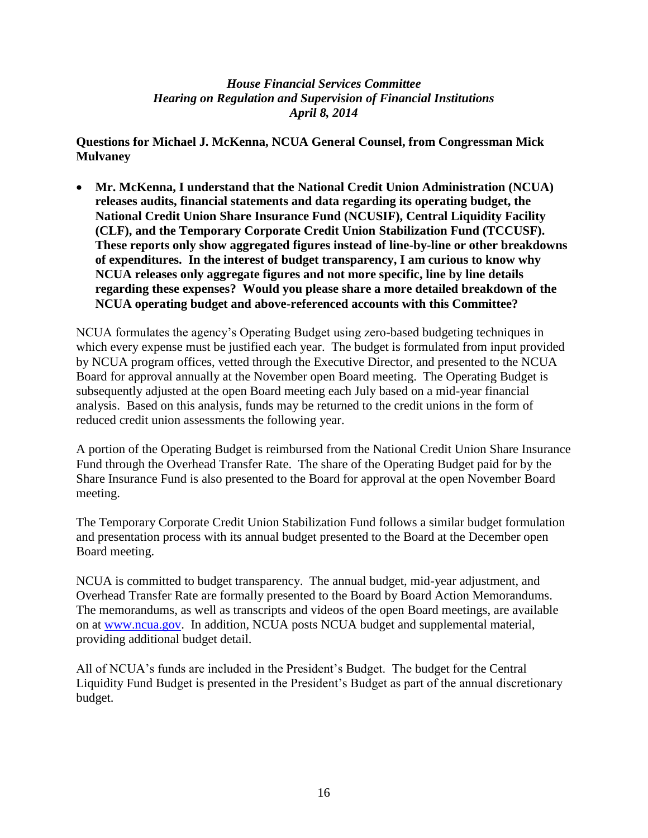**Questions for Michael J. McKenna, NCUA General Counsel, from Congressman Mick Mulvaney**

 **Mr. McKenna, I understand that the National Credit Union Administration (NCUA) releases audits, financial statements and data regarding its operating budget, the National Credit Union Share Insurance Fund (NCUSIF), Central Liquidity Facility (CLF), and the Temporary Corporate Credit Union Stabilization Fund (TCCUSF). These reports only show aggregated figures instead of line-by-line or other breakdowns of expenditures. In the interest of budget transparency, I am curious to know why NCUA releases only aggregate figures and not more specific, line by line details regarding these expenses? Would you please share a more detailed breakdown of the NCUA operating budget and above-referenced accounts with this Committee?**

NCUA formulates the agency's Operating Budget using zero-based budgeting techniques in which every expense must be justified each year. The budget is formulated from input provided by NCUA program offices, vetted through the Executive Director, and presented to the NCUA Board for approval annually at the November open Board meeting. The Operating Budget is subsequently adjusted at the open Board meeting each July based on a mid-year financial analysis. Based on this analysis, funds may be returned to the credit unions in the form of reduced credit union assessments the following year.

A portion of the Operating Budget is reimbursed from the National Credit Union Share Insurance Fund through the Overhead Transfer Rate. The share of the Operating Budget paid for by the Share Insurance Fund is also presented to the Board for approval at the open November Board meeting.

The Temporary Corporate Credit Union Stabilization Fund follows a similar budget formulation and presentation process with its annual budget presented to the Board at the December open Board meeting.

NCUA is committed to budget transparency. The annual budget, mid-year adjustment, and Overhead Transfer Rate are formally presented to the Board by Board Action Memorandums. The memorandums, as well as transcripts and videos of the open Board meetings, are available on at [www.ncua.gov.](http://www.ncua.gov/) In addition, NCUA posts [NCUA budget and supplemental material,](http://www.ncua.gov/about/Pages/Budget2013.aspx) providing additional budget detail.

All of NCUA's funds are included in the President's Budget. The budget for the Central Liquidity Fund Budget is presented in the President's Budget as part of the annual discretionary budget.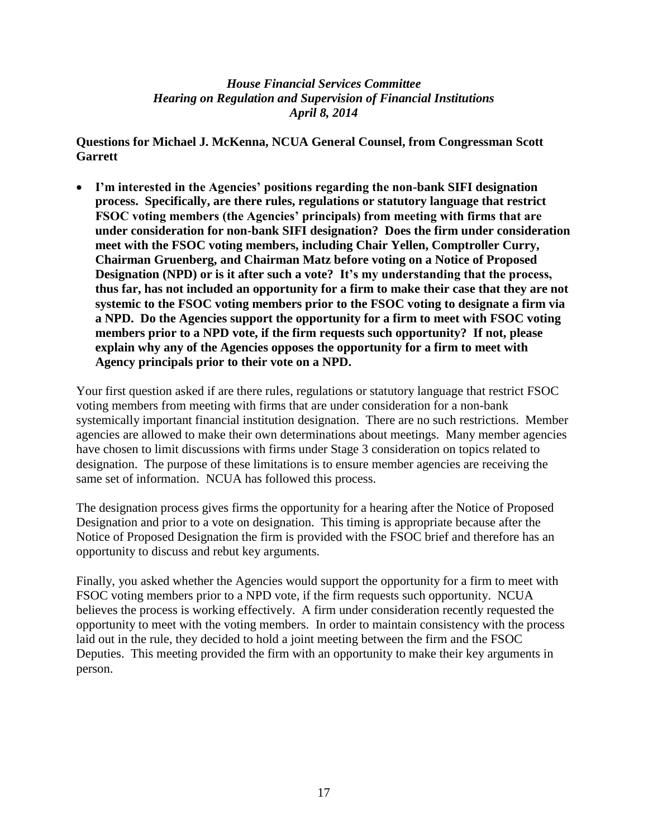**Questions for Michael J. McKenna, NCUA General Counsel, from Congressman Scott Garrett**

 **I'm interested in the Agencies' positions regarding the non-bank SIFI designation process. Specifically, are there rules, regulations or statutory language that restrict FSOC voting members (the Agencies' principals) from meeting with firms that are under consideration for non-bank SIFI designation? Does the firm under consideration meet with the FSOC voting members, including Chair Yellen, Comptroller Curry, Chairman Gruenberg, and Chairman Matz before voting on a Notice of Proposed Designation (NPD) or is it after such a vote? It's my understanding that the process, thus far, has not included an opportunity for a firm to make their case that they are not systemic to the FSOC voting members prior to the FSOC voting to designate a firm via a NPD. Do the Agencies support the opportunity for a firm to meet with FSOC voting members prior to a NPD vote, if the firm requests such opportunity? If not, please explain why any of the Agencies opposes the opportunity for a firm to meet with Agency principals prior to their vote on a NPD.** 

Your first question asked if are there rules, regulations or statutory language that restrict FSOC voting members from meeting with firms that are under consideration for a non-bank systemically important financial institution designation. There are no such restrictions. Member agencies are allowed to make their own determinations about meetings. Many member agencies have chosen to limit discussions with firms under Stage 3 consideration on topics related to designation. The purpose of these limitations is to ensure member agencies are receiving the same set of information. NCUA has followed this process.

The designation process gives firms the opportunity for a hearing after the Notice of Proposed Designation and prior to a vote on designation. This timing is appropriate because after the Notice of Proposed Designation the firm is provided with the FSOC brief and therefore has an opportunity to discuss and rebut key arguments.

Finally, you asked whether the Agencies would support the opportunity for a firm to meet with FSOC voting members prior to a NPD vote, if the firm requests such opportunity. NCUA believes the process is working effectively. A firm under consideration recently requested the opportunity to meet with the voting members. In order to maintain consistency with the process laid out in the rule, they decided to hold a joint meeting between the firm and the FSOC Deputies. This meeting provided the firm with an opportunity to make their key arguments in person.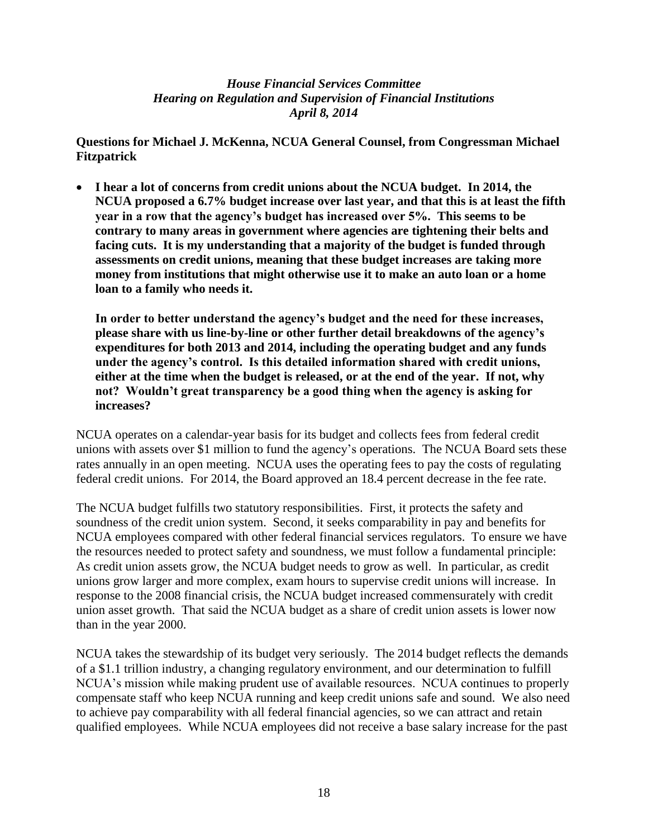**Questions for Michael J. McKenna, NCUA General Counsel, from Congressman Michael Fitzpatrick**

 **I hear a lot of concerns from credit unions about the NCUA budget. In 2014, the NCUA proposed a 6.7% budget increase over last year, and that this is at least the fifth year in a row that the agency's budget has increased over 5%. This seems to be contrary to many areas in government where agencies are tightening their belts and facing cuts. It is my understanding that a majority of the budget is funded through assessments on credit unions, meaning that these budget increases are taking more money from institutions that might otherwise use it to make an auto loan or a home loan to a family who needs it.**

**In order to better understand the agency's budget and the need for these increases, please share with us line-by-line or other further detail breakdowns of the agency's expenditures for both 2013 and 2014, including the operating budget and any funds under the agency's control. Is this detailed information shared with credit unions, either at the time when the budget is released, or at the end of the year. If not, why not? Wouldn't great transparency be a good thing when the agency is asking for increases?**

NCUA operates on a calendar-year basis for its budget and collects fees from federal credit unions with assets over \$1 million to fund the agency's operations. The NCUA Board sets these rates annually in an open meeting. NCUA uses the operating fees to pay the costs of regulating federal credit unions. For 2014, the Board approved an 18.4 percent decrease in the fee rate.

The NCUA budget fulfills two statutory responsibilities. First, it protects the safety and soundness of the credit union system. Second, it seeks comparability in pay and benefits for NCUA employees compared with other federal financial services regulators. To ensure we have the resources needed to protect safety and soundness, we must follow a fundamental principle: As credit union assets grow, the NCUA budget needs to grow as well. In particular, as credit unions grow larger and more complex, exam hours to supervise credit unions will increase. In response to the 2008 financial crisis, the NCUA budget increased commensurately with credit union asset growth. That said the NCUA budget as a share of credit union assets is lower now than in the year 2000.

NCUA takes the stewardship of its budget very seriously. The 2014 budget reflects the demands of a \$1.1 trillion industry, a changing regulatory environment, and our determination to fulfill NCUA's mission while making prudent use of available resources. NCUA continues to properly compensate staff who keep NCUA running and keep credit unions safe and sound. We also need to achieve pay comparability with all federal financial agencies, so we can attract and retain qualified employees. While NCUA employees did not receive a base salary increase for the past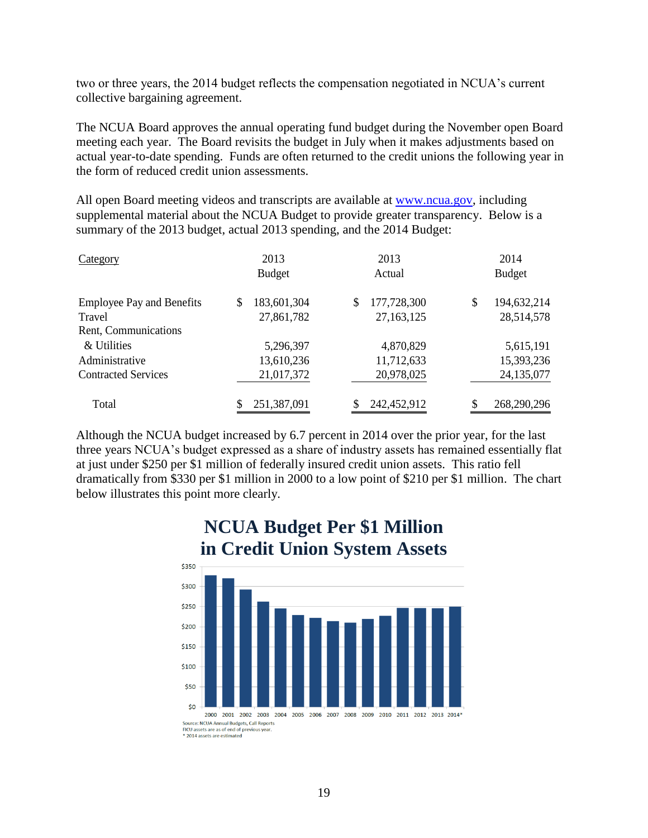two or three years, the 2014 budget reflects the compensation negotiated in NCUA's current collective bargaining agreement.

The NCUA Board approves the annual operating fund budget during the November open Board meeting each year. The Board revisits the budget in July when it makes adjustments based on actual year-to-date spending. Funds are often returned to the credit unions the following year in the form of reduced credit union assessments.

All open Board meeting videos and transcripts are available at [www.ncua.gov,](http://www.ncua.gov/) including supplemental material about the NCUA Budget to provide greater transparency. Below is a summary of the 2013 budget, actual 2013 spending, and the 2014 Budget:

| Category                         | 2013              |    | 2013        |     | 2014          |  |
|----------------------------------|-------------------|----|-------------|-----|---------------|--|
|                                  | <b>Budget</b>     |    | Actual      |     | <b>Budget</b> |  |
| <b>Employee Pay and Benefits</b> | \$<br>183,601,304 | \$ | 177,728,300 | \$  | 194,632,214   |  |
| Travel                           | 27,861,782        |    | 27,163,125  |     | 28,514,578    |  |
| Rent, Communications             |                   |    |             |     |               |  |
| & Utilities                      | 5,296,397         |    | 4,870,829   |     | 5,615,191     |  |
| Administrative                   | 13,610,236        |    | 11,712,633  |     | 15,393,236    |  |
| <b>Contracted Services</b>       | 21,017,372        |    | 20,978,025  |     | 24,135,077    |  |
| Total                            | 251,387,091       |    | 242,452,912 | \$. | 268,290,296   |  |

Although the NCUA budget increased by 6.7 percent in 2014 over the prior year, for the last three years NCUA's budget expressed as a share of industry assets has remained essentially flat at just under \$250 per \$1 million of federally insured credit union assets. This ratio fell dramatically from \$330 per \$1 million in 2000 to a low point of \$210 per \$1 million. The chart below illustrates this point more clearly.



# **NCUA Budget Per \$1 Million**